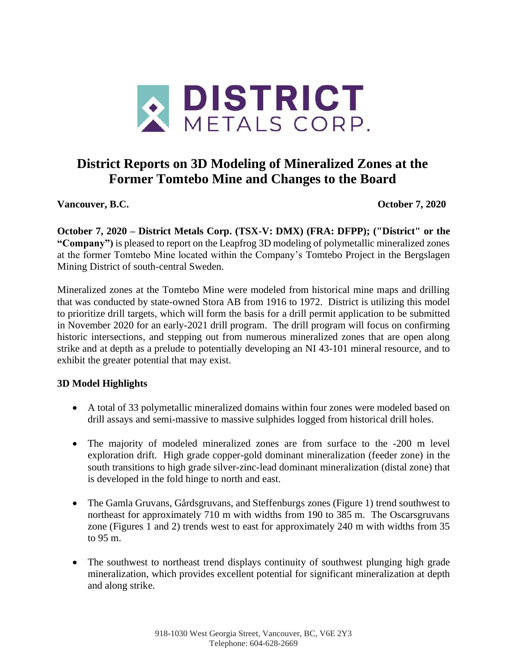

# **District Reports on 3D Modeling of Mineralized Zones at the Former Tomtebo Mine and Changes to the Board**

**Vancouver, B.C. October 7, 2020**

**October 7, 2020 – District Metals Corp. (TSX-V: DMX) (FRA: DFPP); ("District" or the "Company")** is pleased to report on the Leapfrog 3D modeling of polymetallic mineralized zones at the former Tomtebo Mine located within the Company's Tomtebo Project in the Bergslagen Mining District of south-central Sweden.

Mineralized zones at the Tomtebo Mine were modeled from historical mine maps and drilling that was conducted by state-owned Stora AB from 1916 to 1972. District is utilizing this model to prioritize drill targets, which will form the basis for a drill permit application to be submitted in November 2020 for an early-2021 drill program. The drill program will focus on confirming historic intersections, and stepping out from numerous mineralized zones that are open along strike and at depth as a prelude to potentially developing an NI 43-101 mineral resource, and to exhibit the greater potential that may exist.

## **3D Model Highlights**

- A total of 33 polymetallic mineralized domains within four zones were modeled based on drill assays and semi-massive to massive sulphides logged from historical drill holes.
- The majority of modeled mineralized zones are from surface to the -200 m level exploration drift. High grade copper-gold dominant mineralization (feeder zone) in the south transitions to high grade silver-zinc-lead dominant mineralization (distal zone) that is developed in the fold hinge to north and east.
- The Gamla Gruvans, Gårdsgruvans, and Steffenburgs zones (Figure 1) trend southwest to northeast for approximately 710 m with widths from 190 to 385 m. The Oscarsgruvans zone (Figures 1 and 2) trends west to east for approximately 240 m with widths from 35 to 95 m.
- The southwest to northeast trend displays continuity of southwest plunging high grade mineralization, which provides excellent potential for significant mineralization at depth and along strike.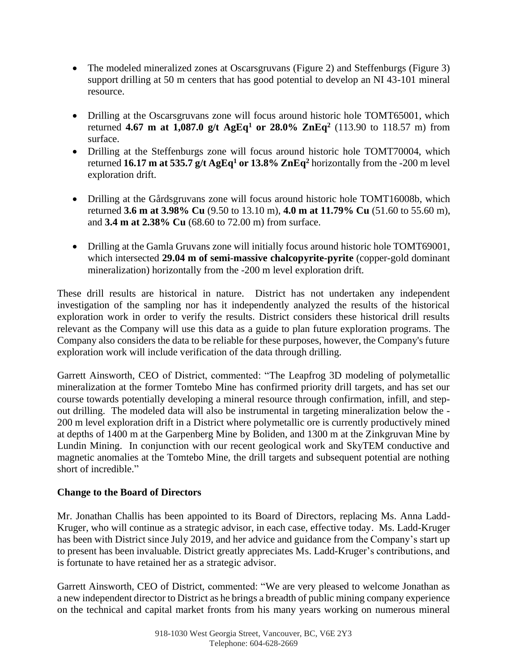- The modeled mineralized zones at Oscarsgruvans (Figure 2) and Steffenburgs (Figure 3) support drilling at 50 m centers that has good potential to develop an NI 43-101 mineral resource.
- Drilling at the Oscarsgruvans zone will focus around historic hole TOMT65001, which returned **4.67 m at 1,087.0 g/t AgEq<sup>1</sup> or 28.0% ZnEq<sup>2</sup>** (113.90 to 118.57 m) from surface.
- Drilling at the Steffenburgs zone will focus around historic hole TOMT70004, which returned **16.17 m at 535.7 g/t AgEq<sup>1</sup> or 13.8% ZnEq<sup>2</sup>** horizontally from the -200 m level exploration drift.
- Drilling at the Gårdsgruvans zone will focus around historic hole TOMT16008b, which returned **3.6 m at 3.98% Cu** (9.50 to 13.10 m), **4.0 m at 11.79% Cu** (51.60 to 55.60 m), and **3.4 m at 2.38% Cu** (68.60 to 72.00 m) from surface.
- Drilling at the Gamla Gruvans zone will initially focus around historic hole TOMT69001, which intersected **29.04 m of semi-massive chalcopyrite-pyrite** (copper-gold dominant mineralization) horizontally from the -200 m level exploration drift.

These drill results are historical in nature. District has not undertaken any independent investigation of the sampling nor has it independently analyzed the results of the historical exploration work in order to verify the results. District considers these historical drill results relevant as the Company will use this data as a guide to plan future exploration programs. The Company also considers the data to be reliable for these purposes, however, the Company's future exploration work will include verification of the data through drilling.

Garrett Ainsworth, CEO of District, commented: "The Leapfrog 3D modeling of polymetallic mineralization at the former Tomtebo Mine has confirmed priority drill targets, and has set our course towards potentially developing a mineral resource through confirmation, infill, and stepout drilling. The modeled data will also be instrumental in targeting mineralization below the - 200 m level exploration drift in a District where polymetallic ore is currently productively mined at depths of 1400 m at the Garpenberg Mine by Boliden, and 1300 m at the Zinkgruvan Mine by Lundin Mining. In conjunction with our recent geological work and SkyTEM conductive and magnetic anomalies at the Tomtebo Mine, the drill targets and subsequent potential are nothing short of incredible."

### **Change to the Board of Directors**

Mr. Jonathan Challis has been appointed to its Board of Directors, replacing Ms. Anna Ladd-Kruger, who will continue as a strategic advisor, in each case, effective today. Ms. Ladd-Kruger has been with District since July 2019, and her advice and guidance from the Company's start up to present has been invaluable. District greatly appreciates Ms. Ladd-Kruger's contributions, and is fortunate to have retained her as a strategic advisor.

Garrett Ainsworth, CEO of District, commented: "We are very pleased to welcome Jonathan as a new independent director to District as he brings a breadth of public mining company experience on the technical and capital market fronts from his many years working on numerous mineral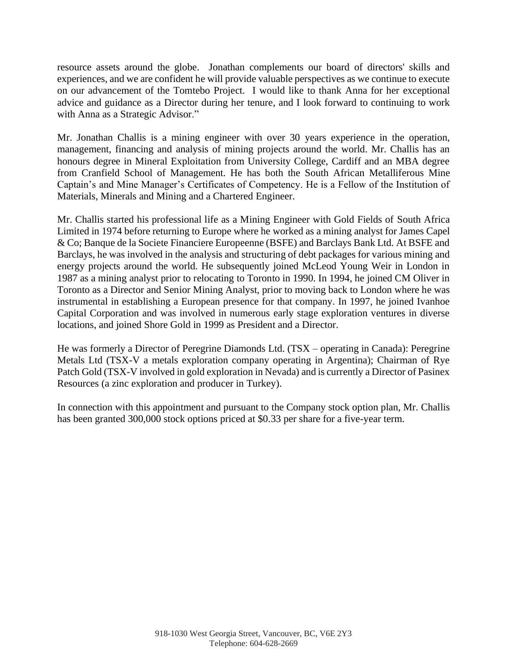resource assets around the globe. Jonathan complements our board of directors' skills and experiences, and we are confident he will provide valuable perspectives as we continue to execute on our advancement of the Tomtebo Project. I would like to thank Anna for her exceptional advice and guidance as a Director during her tenure, and I look forward to continuing to work with Anna as a Strategic Advisor."

Mr. Jonathan Challis is a mining engineer with over 30 years experience in the operation, management, financing and analysis of mining projects around the world. Mr. Challis has an honours degree in Mineral Exploitation from University College, Cardiff and an MBA degree from Cranfield School of Management. He has both the South African Metalliferous Mine Captain's and Mine Manager's Certificates of Competency. He is a Fellow of the Institution of Materials, Minerals and Mining and a Chartered Engineer.

Mr. Challis started his professional life as a Mining Engineer with Gold Fields of South Africa Limited in 1974 before returning to Europe where he worked as a mining analyst for James Capel & Co; Banque de la Societe Financiere Europeenne (BSFE) and Barclays Bank Ltd. At BSFE and Barclays, he was involved in the analysis and structuring of debt packages for various mining and energy projects around the world. He subsequently joined McLeod Young Weir in London in 1987 as a mining analyst prior to relocating to Toronto in 1990. In 1994, he joined CM Oliver in Toronto as a Director and Senior Mining Analyst, prior to moving back to London where he was instrumental in establishing a European presence for that company. In 1997, he joined Ivanhoe Capital Corporation and was involved in numerous early stage exploration ventures in diverse locations, and joined Shore Gold in 1999 as President and a Director.

He was formerly a Director of Peregrine Diamonds Ltd. (TSX – operating in Canada): Peregrine Metals Ltd (TSX-V a metals exploration company operating in Argentina); Chairman of Rye Patch Gold (TSX-V involved in gold exploration in Nevada) and is currently a Director of Pasinex Resources (a zinc exploration and producer in Turkey).

In connection with this appointment and pursuant to the Company stock option plan, Mr. Challis has been granted 300,000 stock options priced at \$0.33 per share for a five-year term.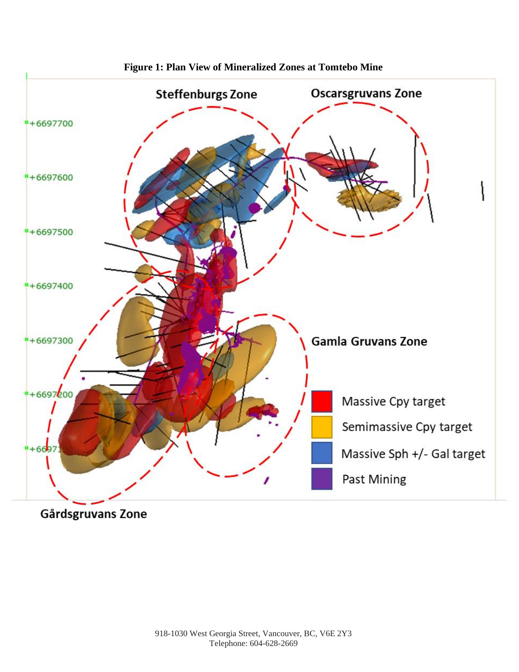

**Figure 1: Plan View of Mineralized Zones at Tomtebo Mine**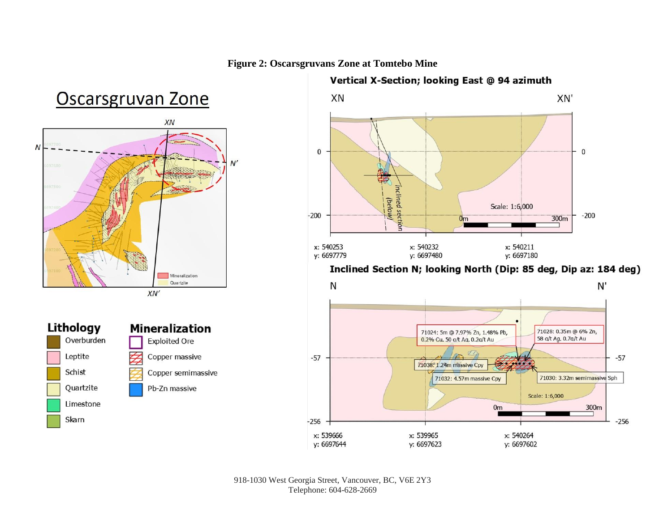

#### Vertical X-Section; looking East @ 94 azimuth XN XN'  $\overline{0}$  $\mathbf{0}$ Inclined section (below) Scale: 1:6,000  $-200$  $-200$ 300m  $0<sub>m</sub>$ x: 540232 x: 540211 x: 540253 y: 6697779 y: 6697480 y: 6697180

Inclined Section N; looking North (Dip: 85 deg, Dip az: 184 deg)



#### 918-1030 West Georgia Street, Vancouver, BC, V6E 2Y3 Telephone: 604-628-2669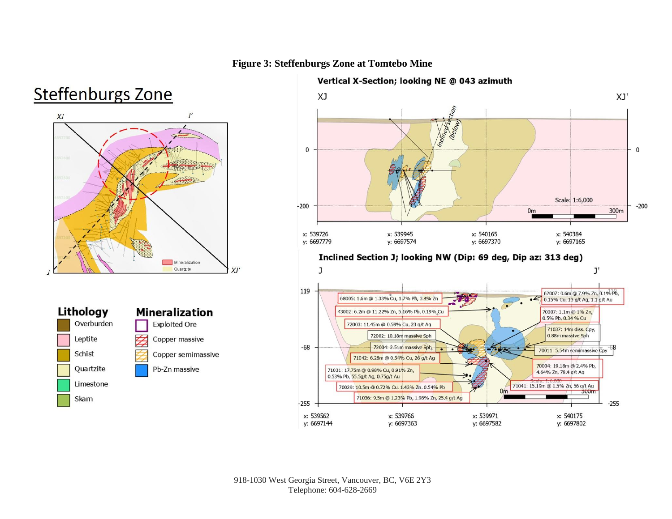#### **Figure 3: Steffenburgs Zone at Tomtebo Mine**

# **Steffenburgs Zone**







#### Vertical X-Section; looking NE @ 043 azimuth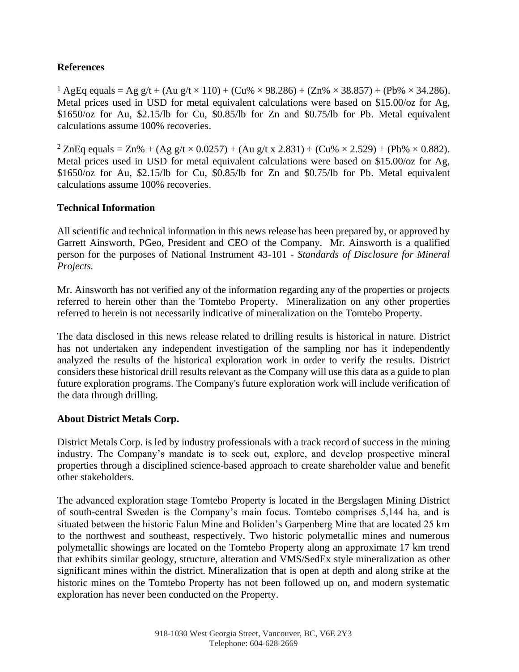#### **References**

<sup>1</sup> AgEq equals = Ag g/t + (Au g/t × 110) + (Cu% × 98.286) + (Zn% × 38.857) + (Pb% × 34.286). Metal prices used in USD for metal equivalent calculations were based on \$15.00/oz for Ag, \$1650/oz for Au, \$2.15/lb for Cu, \$0.85/lb for Zn and \$0.75/lb for Pb. Metal equivalent calculations assume 100% recoveries.

<sup>2</sup> ZnEq equals = Zn% + (Ag g/t × 0.0257) + (Au g/t x 2.831) + (Cu% × 2.529) + (Pb% × 0.882). Metal prices used in USD for metal equivalent calculations were based on \$15.00/oz for Ag, \$1650/oz for Au, \$2.15/lb for Cu, \$0.85/lb for Zn and \$0.75/lb for Pb. Metal equivalent calculations assume 100% recoveries.

#### **Technical Information**

All scientific and technical information in this news release has been prepared by, or approved by Garrett Ainsworth, PGeo, President and CEO of the Company. Mr. Ainsworth is a qualified person for the purposes of National Instrument 43-101 - *Standards of Disclosure for Mineral Projects.*

Mr. Ainsworth has not verified any of the information regarding any of the properties or projects referred to herein other than the Tomtebo Property. Mineralization on any other properties referred to herein is not necessarily indicative of mineralization on the Tomtebo Property.

The data disclosed in this news release related to drilling results is historical in nature. District has not undertaken any independent investigation of the sampling nor has it independently analyzed the results of the historical exploration work in order to verify the results. District considers these historical drill results relevant as the Company will use this data as a guide to plan future exploration programs. The Company's future exploration work will include verification of the data through drilling.

#### **About District Metals Corp.**

District Metals Corp. is led by industry professionals with a track record of success in the mining industry. The Company's mandate is to seek out, explore, and develop prospective mineral properties through a disciplined science-based approach to create shareholder value and benefit other stakeholders.

The advanced exploration stage Tomtebo Property is located in the Bergslagen Mining District of south-central Sweden is the Company's main focus. Tomtebo comprises 5,144 ha, and is situated between the historic Falun Mine and Boliden's Garpenberg Mine that are located 25 km to the northwest and southeast, respectively. Two historic polymetallic mines and numerous polymetallic showings are located on the Tomtebo Property along an approximate 17 km trend that exhibits similar geology, structure, alteration and VMS/SedEx style mineralization as other significant mines within the district. Mineralization that is open at depth and along strike at the historic mines on the Tomtebo Property has not been followed up on, and modern systematic exploration has never been conducted on the Property.